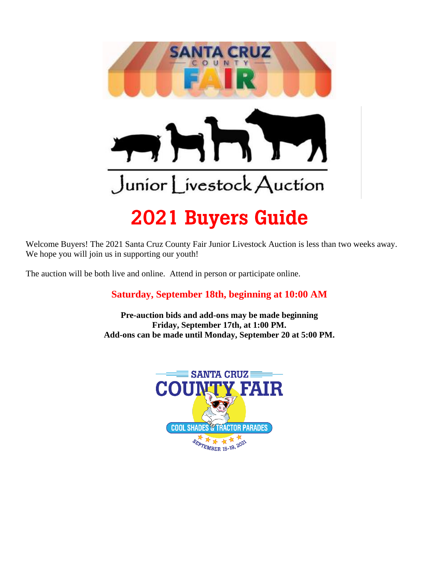

Welcome Buyers! The 2021 Santa Cruz County Fair Junior Livestock Auction is less than two weeks away. We hope you will join us in supporting our youth!

The auction will be both live and online. Attend in person or participate online.

#### **Saturday, September 18th, beginning at 10:00 AM**

**Pre-auction bids and add-ons may be made beginning Friday, September 17th, at 1:00 PM. Add-ons can be made until Monday, September 20 at 5:00 PM.**

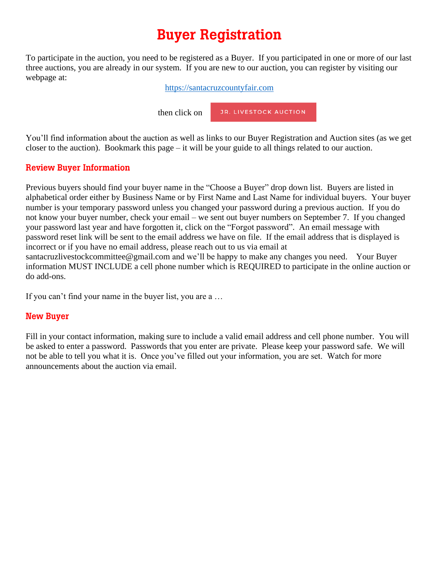# **Buyer Registration**

To participate in the auction, you need to be registered as a Buyer. If you participated in one or more of our last three auctions, you are already in our system. If you are new to our auction, you can register by visiting our webpage at:

[https://santacruzcountyfair.com](https://santacruzcountyfair.com/)

JR. LIVESTOCK AUCTION then click on

You'll find information about the auction as well as links to our Buyer Registration and Auction sites (as we get closer to the auction). Bookmark this page – it will be your guide to all things related to our auction.

#### **Review Buyer Information**

Previous buyers should find your buyer name in the "Choose a Buyer" drop down list. Buyers are listed in alphabetical order either by Business Name or by First Name and Last Name for individual buyers. Your buyer number is your temporary password unless you changed your password during a previous auction. If you do not know your buyer number, check your email – we sent out buyer numbers on September 7. If you changed your password last year and have forgotten it, click on the "Forgot password". An email message with password reset link will be sent to the email address we have on file. If the email address that is displayed is incorrect or if you have no email address, please reach out to us via email at

santacruzlivestockcommittee@gmail.com and we'll be happy to make any changes you need. Your Buyer information MUST INCLUDE a cell phone number which is REQUIRED to participate in the online auction or do add-ons.

If you can't find your name in the buyer list, you are a …

#### **New Buyer**

Fill in your contact information, making sure to include a valid email address and cell phone number. You will be asked to enter a password. Passwords that you enter are private. Please keep your password safe. We will not be able to tell you what it is. Once you've filled out your information, you are set. Watch for more announcements about the auction via email.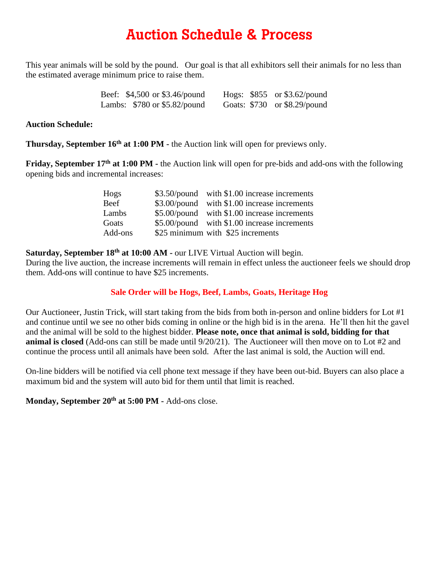#### **Auction Schedule & Process**

This year animals will be sold by the pound. Our goal is that all exhibitors sell their animals for no less than the estimated average minimum price to raise them.

| Beef: \$4,500 or \$3.46/pound   |  | Hogs: $$855$ or $$3.62$ /pound  |
|---------------------------------|--|---------------------------------|
| Lambs: $$780$ or $$5.82$ /pound |  | Goats: $$730$ or $$8.29$ /pound |

#### **Auction Schedule:**

**Thursday, September 16th at 1:00 PM -** the Auction link will open for previews only.

**Friday, September 17<sup>th</sup> at 1:00 PM -** the Auction link will open for pre-bids and add-ons with the following opening bids and incremental increases:

| Hogs    | \$3.50/pound with \$1.00 increase increments |
|---------|----------------------------------------------|
| Beef    | \$3.00/pound with \$1.00 increase increments |
| Lambs   | \$5.00/pound with \$1.00 increase increments |
| Goats   | \$5.00/pound with \$1.00 increase increments |
| Add-ons | \$25 minimum with \$25 increments            |

Saturday, September 18<sup>th</sup> at 10:00 AM - our LIVE Virtual Auction will begin.

During the live auction, the increase increments will remain in effect unless the auctioneer feels we should drop them. Add-ons will continue to have \$25 increments.

#### **Sale Order will be Hogs, Beef, Lambs, Goats, Heritage Hog**

Our Auctioneer, Justin Trick, will start taking from the bids from both in-person and online bidders for Lot #1 and continue until we see no other bids coming in online or the high bid is in the arena. He'll then hit the gavel and the animal will be sold to the highest bidder. **Please note, once that animal is sold, bidding for that animal is closed** (Add-ons can still be made until 9/20/21). The Auctioneer will then move on to Lot #2 and continue the process until all animals have been sold. After the last animal is sold, the Auction will end.

On-line bidders will be notified via cell phone text message if they have been out-bid. Buyers can also place a maximum bid and the system will auto bid for them until that limit is reached.

**Monday, September 20 th at 5:00 PM -** Add-ons close.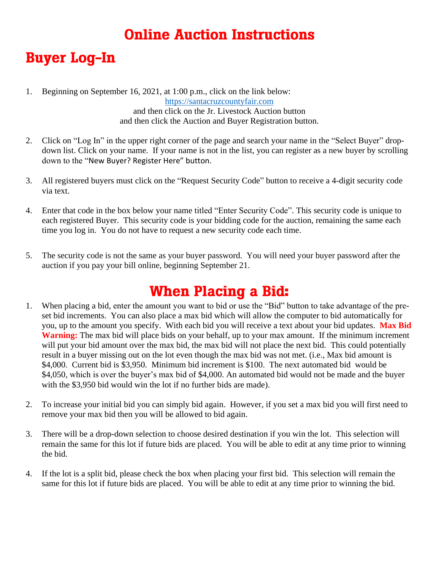# **Online Auction Instructions**

## **Buyer Log-In**

- 1. Beginning on September 16, 2021, at 1:00 p.m., click on the link below: [https://santacruzcountyfair.com](https://santacruzcountyfair.com/) and then click on the Jr. Livestock Auction button and then click the Auction and Buyer Registration button.
- 2. Click on "Log In" in the upper right corner of the page and search your name in the "Select Buyer" dropdown list. Click on your name. If your name is not in the list, you can register as a new buyer by scrolling down to the "New Buyer? Register Here" button.
- 3. All registered buyers must click on the "Request Security Code" button to receive a 4-digit security code via text.
- 4. Enter that code in the box below your name titled "Enter Security Code". This security code is unique to each registered Buyer. This security code is your bidding code for the auction, remaining the same each time you log in. You do not have to request a new security code each time.
- 5. The security code is not the same as your buyer password. You will need your buyer password after the auction if you pay your bill online, beginning September 21.

#### **When Placing a Bid:**

- 1. When placing a bid, enter the amount you want to bid or use the "Bid" button to take advantage of the preset bid increments. You can also place a max bid which will allow the computer to bid automatically for you, up to the amount you specify. With each bid you will receive a text about your bid updates. **Max Bid Warning:** The max bid will place bids on your behalf, up to your max amount. If the minimum increment will put your bid amount over the max bid, the max bid will not place the next bid. This could potentially result in a buyer missing out on the lot even though the max bid was not met. (i.e., Max bid amount is \$4,000. Current bid is \$3,950. Minimum bid increment is \$100. The next automated bid would be \$4,050, which is over the buyer's max bid of \$4,000. An automated bid would not be made and the buyer with the \$3,950 bid would win the lot if no further bids are made).
- 2. To increase your initial bid you can simply bid again. However, if you set a max bid you will first need to remove your max bid then you will be allowed to bid again.
- 3. There will be a drop-down selection to choose desired destination if you win the lot. This selection will remain the same for this lot if future bids are placed. You will be able to edit at any time prior to winning the bid.
- 4. If the lot is a split bid, please check the box when placing your first bid. This selection will remain the same for this lot if future bids are placed. You will be able to edit at any time prior to winning the bid.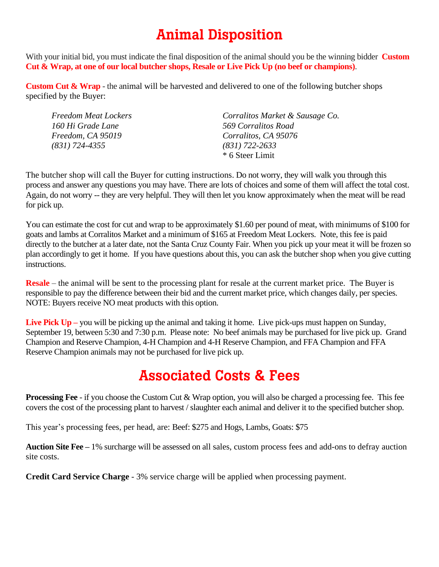## **Animal Disposition**

With your initial bid, you must indicate the final disposition of the animal should you be the winning bidder **Custom Cut & Wrap, at one of our local butcher shops, Resale or Live Pick Up (no beef or champions)**.

**Custom Cut & Wrap** - the animal will be harvested and delivered to one of the following butcher shops specified by the Buyer:

| <b>Freedom Meat Lockers</b> | Corralitos Market & Sausage Co. |
|-----------------------------|---------------------------------|
| 160 Hi Grade Lane           | 569 Corralitos Road             |
| Freedom, CA 95019           | Corralitos, CA 95076            |
| $(831)$ 724-4355            | $(831)$ 722-2633                |
|                             | * 6 Steer Limit                 |

The butcher shop will call the Buyer for cutting instructions. Do not worry, they will walk you through this process and answer any questions you may have. There are lots of choices and some of them will affect the total cost. Again, do not worry -- they are very helpful. They will then let you know approximately when the meat will be read for pick up.

You can estimate the cost for cut and wrap to be approximately \$1.60 per pound of meat, with minimums of \$100 for goats and lambs at Corralitos Market and a minimum of \$165 at Freedom Meat Lockers. Note, this fee is paid directly to the butcher at a later date, not the Santa Cruz County Fair. When you pick up your meat it will be frozen so plan accordingly to get it home. If you have questions about this, you can ask the butcher shop when you give cutting instructions.

**Resale** – the animal will be sent to the processing plant for resale at the current market price. The Buyer is responsible to pay the difference between their bid and the current market price, which changes daily, per species. NOTE: Buyers receive NO meat products with this option.

**Live Pick Up –** you will be picking up the animal and taking it home. Live pick-ups must happen on Sunday, September 19, between 5:30 and 7:30 p.m. Please note: No beef animals may be purchased for live pick up. Grand Champion and Reserve Champion, 4-H Champion and 4-H Reserve Champion, and FFA Champion and FFA Reserve Champion animals may not be purchased for live pick up.

## **Associated Costs & Fees**

**Processing Fee** - if you choose the Custom Cut & Wrap option, you will also be charged a processing fee. This fee covers the cost of the processing plant to harvest / slaughter each animal and deliver it to the specified butcher shop.

This year's processing fees, per head, are: Beef: \$275 and Hogs, Lambs, Goats: \$75

**Auction Site Fee –** 1% surcharge will be assessed on all sales, custom process fees and add-ons to defray auction site costs.

**Credit Card Service Charge** - 3% service charge will be applied when processing payment.